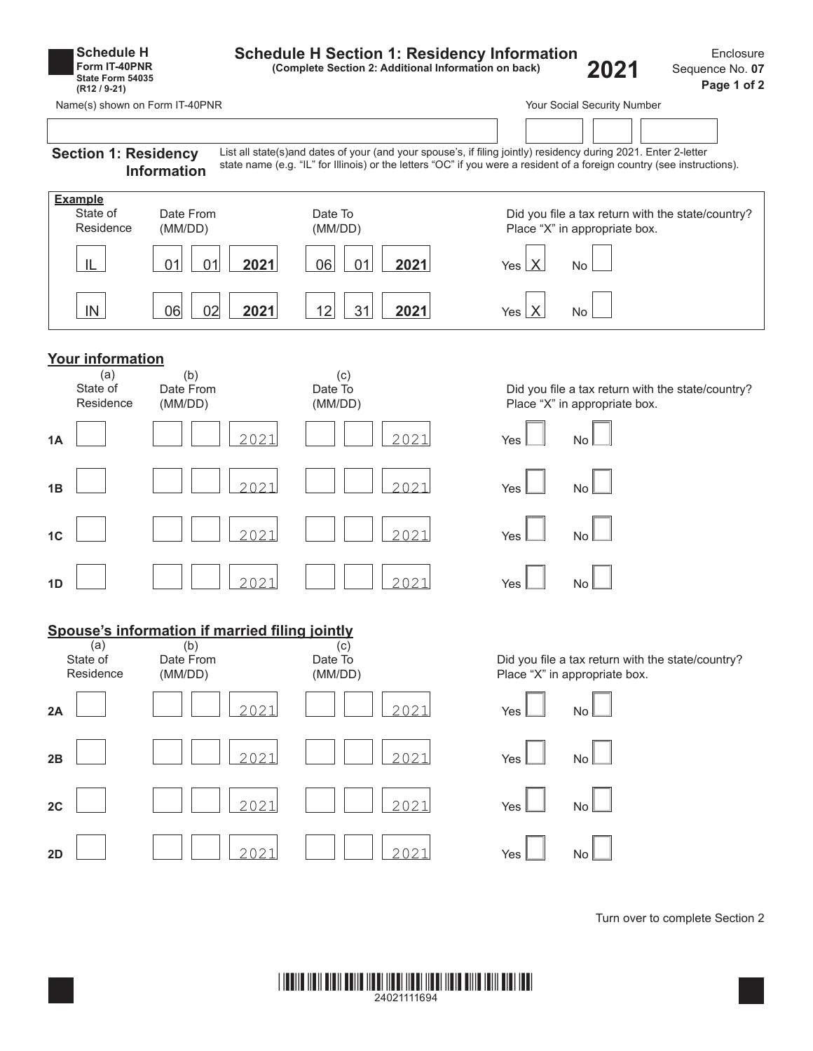| <b>Schedule H</b><br>Form IT-40PNR<br>State Form 54035<br>$(R12/9-21)$ |                             | <b>Schedule H Section 1: Residency Information</b> | (Complete Section 2: Additional Information on back) | 2021 | Enclosure<br>Sequence No. 07<br>Page 1 of 2                                                                                                                                                                                                |                               |                                                   |  |
|------------------------------------------------------------------------|-----------------------------|----------------------------------------------------|------------------------------------------------------|------|--------------------------------------------------------------------------------------------------------------------------------------------------------------------------------------------------------------------------------------------|-------------------------------|---------------------------------------------------|--|
| Name(s) shown on Form IT-40PNR                                         |                             |                                                    |                                                      |      |                                                                                                                                                                                                                                            | Your Social Security Number   |                                                   |  |
| <b>Section 1: Residency</b>                                            | <b>Information</b>          |                                                    |                                                      |      | List all state(s)and dates of your (and your spouse's, if filing jointly) residency during 2021. Enter 2-letter<br>state name (e.g. "IL" for Illinois) or the letters "OC" if you were a resident of a foreign country (see instructions). |                               |                                                   |  |
| <b>Example</b><br>State of<br>Residence                                | Date From<br>(MM/DD)        |                                                    | Date To<br>(MM/DD)                                   |      |                                                                                                                                                                                                                                            | Place "X" in appropriate box. | Did you file a tax return with the state/country? |  |
| IL                                                                     | 01<br> 01                   | 2021                                               | 06<br>01                                             | 2021 | Yes $X$                                                                                                                                                                                                                                    | <b>No</b>                     |                                                   |  |
| IN                                                                     | 06<br>02                    | 2021                                               | 12<br>31                                             | 2021 | Yes $X$                                                                                                                                                                                                                                    | No                            |                                                   |  |
| <b>Your information</b>                                                |                             |                                                    |                                                      |      |                                                                                                                                                                                                                                            |                               |                                                   |  |
| (a)<br>State of<br>Residence                                           | (b)<br>Date From<br>(MM/DD) |                                                    | (c)<br>Date To<br>(MM/DD)                            |      |                                                                                                                                                                                                                                            | Place "X" in appropriate box. | Did you file a tax return with the state/country? |  |
| 1A                                                                     |                             | 2021                                               |                                                      | 2021 | Yes                                                                                                                                                                                                                                        | No                            |                                                   |  |
| 1B                                                                     |                             | 2021                                               |                                                      | 2021 | Yes                                                                                                                                                                                                                                        | <b>No</b>                     |                                                   |  |
| 1 <sub>C</sub>                                                         |                             | 2021                                               |                                                      | 2021 | Yes                                                                                                                                                                                                                                        | <b>No</b>                     |                                                   |  |
| 1D                                                                     |                             | 2021                                               |                                                      | 2021 | Yes                                                                                                                                                                                                                                        | No                            |                                                   |  |
| Spouse's information if married filing jointly                         |                             |                                                    |                                                      |      |                                                                                                                                                                                                                                            |                               |                                                   |  |
| (a)<br>State of<br>Residence                                           | (b)<br>Date From<br>(MM/DD) |                                                    | (c)<br>Date To<br>(MM/DD)                            |      |                                                                                                                                                                                                                                            | Place "X" in appropriate box. | Did you file a tax return with the state/country? |  |
| 2A                                                                     |                             | 2021                                               |                                                      | 2021 | Yes                                                                                                                                                                                                                                        | No                            |                                                   |  |
| 2B                                                                     |                             | 2021                                               |                                                      | 2021 | Yes                                                                                                                                                                                                                                        | No                            |                                                   |  |
| 2C                                                                     |                             | 2021                                               |                                                      | 2021 | Yes                                                                                                                                                                                                                                        | No                            |                                                   |  |
| 2D                                                                     |                             | 2021                                               |                                                      | 2021 | Yes                                                                                                                                                                                                                                        | No                            |                                                   |  |
|                                                                        |                             |                                                    |                                                      |      |                                                                                                                                                                                                                                            |                               |                                                   |  |

Turn over to complete Section 2